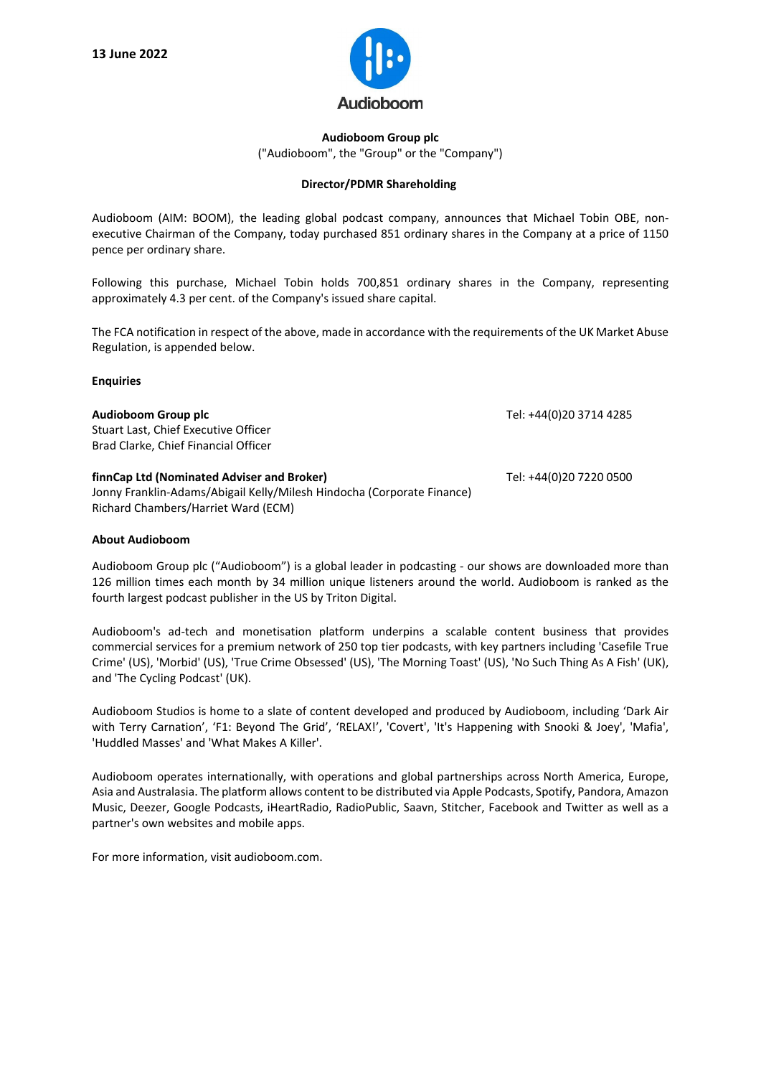

**Audioboom Group plc** ("Audioboom", the "Group" or the "Company")

## **Director/PDMR Shareholding**

Audioboom (AIM: BOOM), the leading global podcast company, announces that Michael Tobin OBE, nonexecutive Chairman of the Company, today purchased 851 ordinary shares in the Company at a price of 1150 pence per ordinary share.

Following this purchase, Michael Tobin holds 700,851 ordinary shares in the Company, representing approximately 4.3 per cent. of the Company's issued share capital.

The FCA notification in respect of the above, made in accordance with the requirements of the UK Market Abuse Regulation, is appended below.

## **Enquiries**

| Audioboom Group plc<br>Stuart Last, Chief Executive Officer<br>Brad Clarke, Chief Financial Officer                                                         | Tel: +44(0)20 3714 4285 |
|-------------------------------------------------------------------------------------------------------------------------------------------------------------|-------------------------|
| finnCap Ltd (Nominated Adviser and Broker)<br>Jonny Franklin-Adams/Abigail Kelly/Milesh Hindocha (Corporate Finance)<br>Richard Chambers/Harriet Ward (ECM) | Tel: +44(0)20 7220 0500 |

## **About Audioboom**

Audioboom Group plc ("Audioboom") is a global leader in podcasting - our shows are downloaded more than 126 million times each month by 34 million unique listeners around the world. Audioboom is ranked as the fourth largest podcast publisher in the US by Triton Digital.

Audioboom's ad-tech and monetisation platform underpins a scalable content business that provides commercial services for a premium network of 250 top tier podcasts, with key partners including 'Casefile True Crime' (US), 'Morbid' (US), 'True Crime Obsessed' (US), 'The Morning Toast' (US), 'No Such Thing As A Fish' (UK), and 'The Cycling Podcast' (UK).

Audioboom Studios is home to a slate of content developed and produced by Audioboom, including 'Dark Air with Terry Carnation', 'F1: Beyond The Grid', 'RELAX!', 'Covert', 'It's Happening with Snooki & Joey', 'Mafia', 'Huddled Masses' and 'What Makes A Killer'.

Audioboom operates internationally, with operations and global partnerships across North America, Europe, Asia and Australasia. The platform allows content to be distributed via Apple Podcasts, Spotify, Pandora, Amazon Music, Deezer, Google Podcasts, iHeartRadio, RadioPublic, Saavn, Stitcher, Facebook and Twitter as well as a partner's own websites and mobile apps.

For more information, visit audioboom.com.